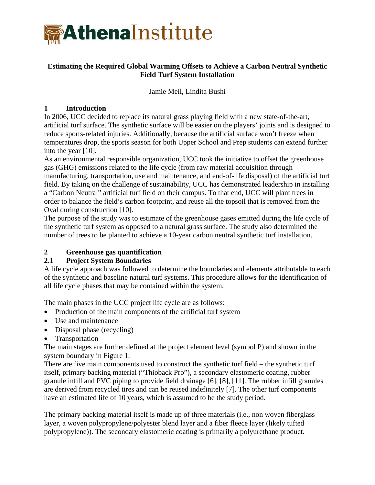

## **Estimating the Required Global Warming Offsets to Achieve a Carbon Neutral Synthetic Field Turf System Installation**

Jamie Meil, Lindita Bushi

### **1 Introduction**

In 2006, UCC decided to replace its natural grass playing field with a new state-of-the-art, artificial turf surface. The synthetic surface will be easier on the players' joints and is designed to reduce sports-related injuries. Additionally, because the artificial surface won't freeze when temperatures drop, the sports season for both Upper School and Prep students can extend further into the year [10].

As an environmental responsible organization, UCC took the initiative to offset the greenhouse gas (GHG) emissions related to the life cycle (from raw material acquisition through manufacturing, transportation, use and maintenance, and end-of-life disposal) of the artificial turf field. By taking on the challenge of sustainability, UCC has demonstrated leadership in installing a "Carbon Neutral" artificial turf field on their campus. To that end, UCC will plant trees in order to balance the field's carbon footprint, and reuse all the topsoil that is removed from the Oval during construction [10].

The purpose of the study was to estimate of the greenhouse gases emitted during the life cycle of the synthetic turf system as opposed to a natural grass surface. The study also determined the number of trees to be planted to achieve a 10-year carbon neutral synthetic turf installation.

## **2 Greenhouse gas quantification**

## **2.1 Project System Boundaries**

A life cycle approach was followed to determine the boundaries and elements attributable to each of the synthetic and baseline natural turf systems. This procedure allows for the identification of all life cycle phases that may be contained within the system.

The main phases in the UCC project life cycle are as follows:

- Production of the main components of the artificial turf system
- Use and maintenance
- Disposal phase (recycling)
- Transportation

The main stages are further defined at the project element level (symbol P) and shown in the system boundary in [Figure 1](#page-1-0).

There are five main components used to construct the synthetic turf field – the synthetic turf itself, primary backing material ("Thioback Pro"), a secondary elastomeric coating, rubber granule infill and PVC piping to provide field drainage [6], [8], [11]. The rubber infill granules are derived from recycled tires and can be reused indefinitely [7]. The other turf components have an estimated life of 10 years, which is assumed to be the study period.

The primary backing material itself is made up of three materials (i.e., non woven fiberglass layer, a woven polypropylene/polyester blend layer and a fiber fleece layer (likely tufted polypropylene)). The secondary elastomeric coating is primarily a polyurethane product.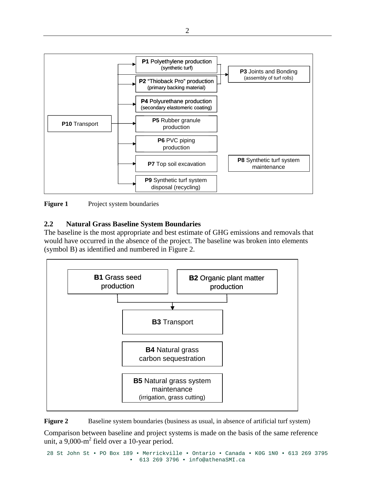

<span id="page-1-0"></span>**Figure 1** Project system boundaries

## **2.2 Natural Grass Baseline System Boundaries**

The baseline is the most appropriate and best estimate of GHG emissions and removals that would have occurred in the absence of the project. The baseline was broken into elements (symbol B) as identified and numbered in [Figure 2](#page-1-1).



<span id="page-1-1"></span>**Figure 2** Baseline system boundaries (business as usual, in absence of artificial turf system)

Comparison between baseline and project systems is made on the basis of the same reference unit, a  $9,000 \text{ m}^2$  field over a 10-year period.

28 St John St • PO Box 189 • Merrickville • Ontario • Canada • K0G 1N0 • 613 269 3795 • 613 269 3796 • info@athenaSMI.ca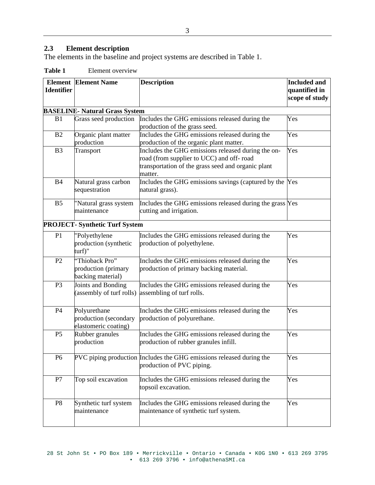# **2.3 Element description**

The elements in the baseline and project systems are described in Table 1.

| Table 1 | Element overview |
|---------|------------------|
|         |                  |

| <b>Identifier</b> | <b>Element Element Name</b>                                   | <b>Description</b>                                                                                                                                              | <b>Included and</b><br>quantified in<br>scope of study |
|-------------------|---------------------------------------------------------------|-----------------------------------------------------------------------------------------------------------------------------------------------------------------|--------------------------------------------------------|
|                   |                                                               |                                                                                                                                                                 |                                                        |
|                   | <b>BASELINE- Natural Grass System</b>                         |                                                                                                                                                                 |                                                        |
| B1                | Grass seed production                                         | Includes the GHG emissions released during the<br>production of the grass seed.                                                                                 | Yes                                                    |
| B <sub>2</sub>    | Organic plant matter<br>production                            | Includes the GHG emissions released during the<br>production of the organic plant matter.                                                                       | Yes                                                    |
| B <sub>3</sub>    | Transport                                                     | Includes the GHG emissions released during the on-<br>road (from supplier to UCC) and off-road<br>transportation of the grass seed and organic plant<br>matter. | Yes                                                    |
| <b>B4</b>         | Natural grass carbon<br>sequestration                         | Includes the GHG emissions savings (captured by the Yes<br>natural grass).                                                                                      |                                                        |
| B <sub>5</sub>    | "Natural grass system<br>maintenance                          | Includes the GHG emissions released during the grass Yes<br>cutting and irrigation.                                                                             |                                                        |
|                   | <b>PROJECT- Synthetic Turf System</b>                         |                                                                                                                                                                 |                                                        |
| P <sub>1</sub>    | "Polyethylene<br>production (synthetic<br>turf)"              | Includes the GHG emissions released during the<br>production of polyethylene.                                                                                   | Yes                                                    |
| P <sub>2</sub>    | "Thioback Pro"<br>production (primary<br>backing material)    | Includes the GHG emissions released during the<br>production of primary backing material.                                                                       | Yes                                                    |
| P <sub>3</sub>    | Joints and Bonding<br>(assembly of turf rolls)                | Includes the GHG emissions released during the<br>assembling of turf rolls.                                                                                     | Yes                                                    |
| P4                | Polyurethane<br>production (secondary<br>elastomeric coating) | Includes the GHG emissions released during the<br>production of polyurethane.                                                                                   | Yes                                                    |
| P <sub>5</sub>    | Rubber granules<br>production                                 | Includes the GHG emissions released during the<br>production of rubber granules infill.                                                                         | Yes                                                    |
| P <sub>6</sub>    |                                                               | PVC piping production Includes the GHG emissions released during the<br>production of PVC piping.                                                               | Yes                                                    |
| P7                | Top soil excavation                                           | Includes the GHG emissions released during the<br>topsoil excavation.                                                                                           | Yes                                                    |
| P <sub>8</sub>    | Synthetic turf system<br>maintenance                          | Includes the GHG emissions released during the<br>maintenance of synthetic turf system.                                                                         | Yes                                                    |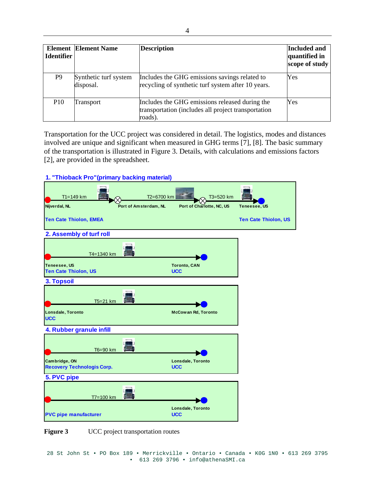| <b>Identifier</b> | <b>Element   Element Name</b>      | <b>Description</b>                                                                                               | Included and<br>quantified in<br>scope of study |
|-------------------|------------------------------------|------------------------------------------------------------------------------------------------------------------|-------------------------------------------------|
| P9                | Synthetic turf system<br>disposal. | Includes the GHG emissions savings related to<br>recycling of synthetic turf system after 10 years.              | Yes                                             |
| P <sub>10</sub>   | Transport                          | Includes the GHG emissions released during the<br>transportation (includes all project transportation<br>roads). | Yes                                             |

Transportation for the UCC project was considered in detail. The logistics, modes and distances involved are unique and significant when measured in GHG terms [7], [8]. The basic summary of the transportation is illustrated in Figure 3. Details, with calculations and emissions factors [2], are provided in the spreadsheet.



UCC project transportation routes **Figure 3**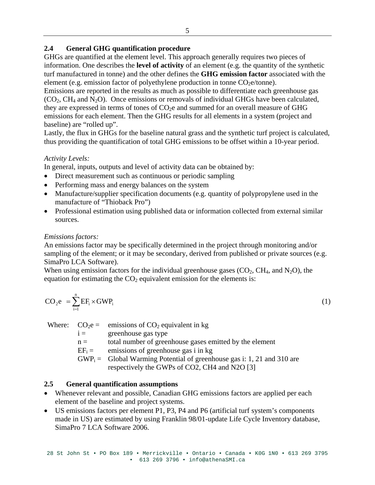### 2.4 General GHG quantification procedure

GHGs are quantified at the element level. This approach generally requires two pieces of information. One describes the **level of activity** of an element (e.g. the quantity of the synthetic turf manufactured in tonne) and the other defines the **GHG emission factor** associated with the element (e.g. emission factor of polyethylene production in tonne  $CO<sub>2</sub>e/tonne$ ).

Emissions are reported in the results as much as possible to differentiate each greenhouse gas  $(CO_2, CH_4$  and N<sub>2</sub>O). Once emissions or removals of individual GHGs have been calculated, they are expressed in terms of tones of  $CO<sub>2</sub>e$  and summed for an overall measure of GHG emissions for each element. Then the GHG results for all elements in a system (project and baseline) are "rolled up".

Lastly, the flux in GHGs for the baseline natural grass and the synthetic turf project is calculated, thus providing the quantification of total GHG emissions to be offset within a 10-year period.

## *Activity Levels:*

In general, inputs, outputs and level of activity data can be obtained by:

- Direct measurement such as continuous or periodic sampling
- Performing mass and energy balances on the system
- Manufacture/supplier specification documents (e.g. quantity of polypropylene used in the manufacture of "Thioback Pro")
- Professional estimation using published data or information collected from external similar sources.

## *Emissions factors:*

An emissions factor may be specifically determined in the project through monitoring and/or sampling of the element; or it may be secondary, derived from published or private sources (e.g. SimaPro LCA Software).

equation for estimating the  $CO<sub>2</sub>$  equivalent emission for the elements is: When using emission factors for the individual greenhouse gases  $(CO_2, CH_4, and N_2O)$ , the

$$
CO_2 e = \sum_{i=1}^{n} EF_i \times GWP_i
$$
 (1)

Where:  $CO<sub>2</sub>e =$ emissions of  $CO<sub>2</sub>$  equivalent in kg

 $i =$  greenhouse gas type

total number of greenhouse gases emitted by the element  $n =$ 

 $EF_i =$ emissions of greenhouse gas i in kg

 $GWP_i =$  Global Warming Potential of greenhouse gas i: 1, 21 and 310 are respectively the GWPs of CO2, CH4 and N2O [3]

#### 2.5 General quantification assumptions

- Whenever relevant and possible, Canadian GHG emissions factors are applied per each element of the baseline and project systems.
- US emissions factors per element P1, P3, P4 and P6 (artificial turf system's components made in US) are estimated by using Franklin 98/01-update Life Cycle Inventory database, SimaPro 7 LCA Software 2006.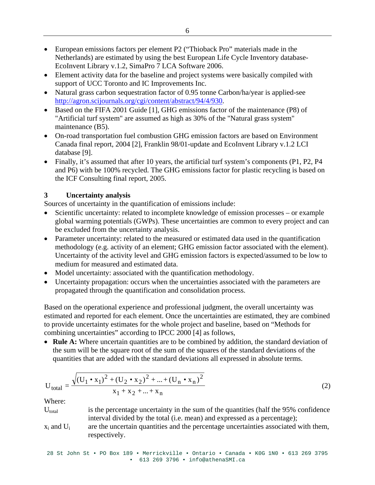- EcoInvent Library v.1.2, SimaPro 7 LCA Software 2006. • European emissions factors per element P2 ("Thioback Pro" materials made in the Netherlands) are estimated by using the best European Life Cycle Inventory database-
- Element activity data for the baseline and project systems were basically compiled with support of UCC Toronto and IC Improvements Inc.
- Natural grass carbon sequestration factor of 0.95 tonne Carbon/ha/year is applied-see http://agron.scijournals.org/cgi/content/abstract/94/4/930.
- Based on the FIFA 2001 Guide [1], GHG emissions factor of the maintenance (P8) of "Artificial turf system" are assumed as high as 30% of the "Natural grass system" maintenance (B5).
- Canada final report, 2004 [2], Franklin 98/01-update and EcoInvent Library v.1.2 LCI • On-road transportation fuel combustion GHG emission factors are based on Environment database [9].
- and P6) with be 100% recycled. The GHG emissions factor for plastic recycling is based on the ICF Consulting final report, 2005. • Finally, it's assumed that after 10 years, the artificial turf system's components (P1, P2, P4

#### **3 Uncertainty analysis**

Sources of uncertainty in the quantification of emissions include:

- Scientific uncertainty: related to incomplete knowledge of emission processes or example global warming potentials (GWPs). These uncertainties are common to every project and can • be excluded from the uncertainty analysis.
- Uncertainty of the activity level and GHG emission factors is expected/assumed to be low to • Parameter uncertainty: related to the measured or estimated data used in the quantification methodology (e.g. activity of an element; GHG emission factor associated with the element). medium for measured and estimated data.
- Model uncertainty: associated with the quantification methodology.
- Uncertainty propagation: occurs when the uncertainties associated with the parameters are propagated through the quantification and consolidation process.

estimated and reported for each element. Once the uncertainties are estimated, they are combined to provide uncertainty estimates for the whole project and baseline, based on "Methods for Based on the operational experience and professional judgment, the overall uncertainty was combining uncertainties" according to IPCC 2000 [4] as follows,

quantities that are added with the standard deviations all expressed in absolute terms. • **Rule A:** Where uncertain quantities are to be combined by addition, the standard deviation of the sum will be the square root of the sum of the squares of the standard deviations of the

$$
U_{\text{total}} = \frac{\sqrt{(U_1 \cdot x_1)^2 + (U_2 \cdot x_2)^2 + ... + (U_n \cdot x_n)^2}}{x_1 + x_2 + ... + x_n}
$$
 (2)

Where:

- $U_{total}$  is the percentage uncertainty in the sum of the quantities (half the 95% confidence interval divided by the total (i.e. mean) and exp ressed as a percentage);
- are the uncertain quantities and the percentage uncertainties associated with them,  $x_i$  and  $U_i$ respectively.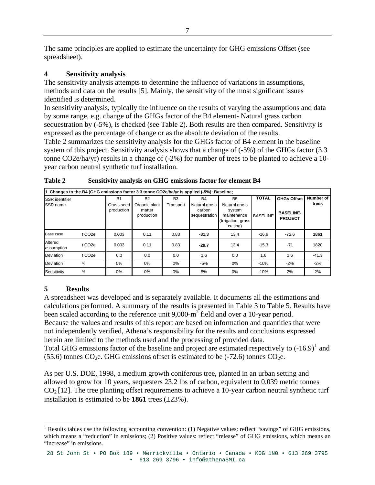The same principles are applied to estimate the uncertainty for GHG emissions Offset (see spreadsheet).

#### **vity analysis 4 Sensiti**

The sensitivity analysis attempts to determine the influence of variations in assumptions, methods and data on the results [5]. Mainly, the sensitivity of the most significant issues identified is determined.

In sensitivity analysis, typically the influence on the results of varying the assumptions and data by some range, e.g. change of the GHGs factor of the B4 element- Natural grass carbon sequestration by (-5%), is checked (see Table 2). Both results are then compared. Sensitivity is expressed as the percentage of change or as the absolute deviation of the results.

system of this project. Sensitivity analysis shows that a change of  $(-5\%)$  of the GHGs factor  $(3.3\%)$ tonne CO2e/ha/yr) results in a change of (-2%) for number of trees to be planted to achieve a 10-Table 2 summarizes the sensitivity analysis for the GHGs factor of B4 element in the baseline year carbon neutral synthetic turf installation.

| 1. Changes to the B4 (GHG emissions factor 3.3 tonne CO2e/ha/yr is applied (-5%): Baseline; |                     |                          |                                       |                |                                          |                                                                          |                 |                                    |           |  |
|---------------------------------------------------------------------------------------------|---------------------|--------------------------|---------------------------------------|----------------|------------------------------------------|--------------------------------------------------------------------------|-----------------|------------------------------------|-----------|--|
| <b>SSR</b> identifier                                                                       |                     | <b>B1</b>                | <b>B2</b>                             | B <sub>3</sub> | R <sub>4</sub>                           | <b>B5</b>                                                                | <b>TOTAL</b>    | <b>GHGs Offset</b>                 | Number of |  |
| SSR name                                                                                    |                     | Grass seed<br>production | Organic plant<br>matter<br>production | Transport      | Natural grass<br>carbon<br>sequestration | Natural grass<br>system<br>maintenance<br>(Irrigation, grass<br>cutting) | <b>BASELINE</b> | <b>BASELINE-</b><br><b>PROJECT</b> | trees     |  |
| Base case                                                                                   | t CO <sub>2</sub> e | 0.003                    | 0.11                                  | 0.83           | $-31.3$                                  | 13.4                                                                     | $-16.9$         | $-72.6$                            | 1861      |  |
| Altered<br>assumption                                                                       | t CO <sub>2e</sub>  | 0.003                    | 0.11                                  | 0.83           | $-29.7$                                  | 13.4                                                                     | $-15.3$         | $-71$                              | 1820      |  |
| Deviation                                                                                   | t CO <sub>2</sub> e | 0.0                      | 0.0                                   | 0.0            | 1.6                                      | 0.0                                                                      | 1.6             | 1.6                                | $-41.3$   |  |
| Deviation                                                                                   | %                   | 0%                       | 0%                                    | 0%             | -5%                                      | $0\%$                                                                    | $-10%$          | $-2%$                              | $-2%$     |  |
| Sensitivity                                                                                 | %                   | 0%                       | 0%                                    | 0%             | 5%                                       | $0\%$                                                                    | $-10%$          | 2%                                 | 2%        |  |

|  | Table 2 | Sensitivity analysis on GHG emissions factor for element B4 |
|--|---------|-------------------------------------------------------------|
|--|---------|-------------------------------------------------------------|

#### **5 Results**

A spreadsheet was developed and is separately available. It documents all the estimations and calculations performed. A summary of the results is presented in Table 3 to Table 5. Results have been scaled according to the reference unit  $9,000 \text{--} \text{m}^2$  field and over a 10-year period. Because the values and results of this report are based on information and quantities that were Total GHG emissions factor of the baseline and project are estimated respectively to  $(-16.9)^1$  and not independently verified, Athena's responsibility for the results and conclusions expressed herein are limited to the methods used and the processing of provided data.

(55.6) tonnes  $CO<sub>2</sub>e$ . GHG emissions offset is estimated to be (-72.6) tonnes  $CO<sub>2</sub>e$ .

As per U.S. DOE, 1998, a medium growth coniferous tree, planted in an urban setting and  $CO<sub>2</sub>[12]$ . The tree planting offset requirements to achieve a 10-year carbon neutral synthetic turf installation is estimated to be  $1861$  trees  $(\pm 23\%)$ . allowed to grow for 10 years, sequesters 23.2 lbs of carbon, equivalent to 0.039 metric tonnes

 $\overline{a}$ <sup>1</sup> Results tables use the following accounting convention: (1) Negative values: reflect "savings" of GHG emissions, which means a "reduction" in emissions; (2) Positive values: reflect "release" of GHG emissions, which means an "increase" in emissions.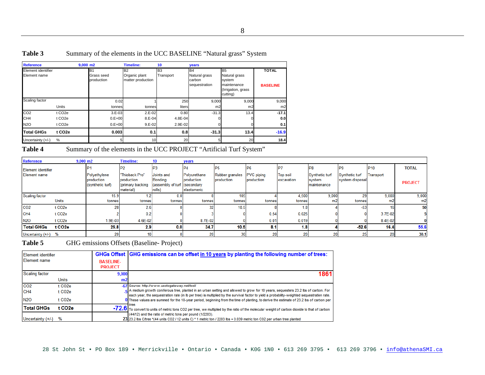| Table 3 | Summary of the elements in the UCC BASELINE "Natural grass" System |  |
|---------|--------------------------------------------------------------------|--|
|---------|--------------------------------------------------------------------|--|

| Reference                          |                     | $9.000$ m <sub>2</sub>                     | Timeline:                                       | 10               | <b>years</b>                                    |                                                                                            |                                 |
|------------------------------------|---------------------|--------------------------------------------|-------------------------------------------------|------------------|-------------------------------------------------|--------------------------------------------------------------------------------------------|---------------------------------|
| Element identifier<br>Element name |                     | B <sub>1</sub><br>Grass seed<br>production | <b>B2</b><br>Organic plant<br>matter production | lB3<br>Transport | IB4<br>Natural grass<br>carbon<br>sequestration | B <sub>5</sub><br>Natural grass<br>system<br>maintenance<br>(Irrigation, grass<br>cutting) | <b>TOTAL</b><br><b>BASELINE</b> |
| Scaling factor                     |                     | 0.02                                       |                                                 | 250              | 9,000                                           | 9,000                                                                                      | 9,000                           |
|                                    | <b>Units</b>        | tonnes                                     | tonnes                                          | liters           | m2                                              | m2                                                                                         | m2                              |
| CO <sub>2</sub>                    | t CO <sub>2</sub> e | $3.E-03$                                   | $2.E-02$                                        | 0.80             | $-31.3$                                         | 13.4                                                                                       | $-17.1$                         |
| CH <sub>4</sub>                    | t CO <sub>2e</sub>  | $0.E+00$                                   | $8.E-04$                                        | 4.8E-04          |                                                 |                                                                                            | 0.0                             |
| <b>N2O</b>                         | t CO <sub>2</sub> e | $0.E+00$                                   | $9.E-02$                                        | 2.9E-02          |                                                 |                                                                                            | 0.1                             |
| <b>Total GHGs</b>                  | t CO <sub>2e</sub>  | 0.003                                      | 0.1                                             | 0.8              | $-31.3$                                         | 13.4                                                                                       | $-16.9$                         |
| Uncertainty $(+/-)$                | %                   | 5                                          | 10                                              | 20               | 5                                               | 20                                                                                         | 18.4                            |

Table 4 Summary of the elements in the UCC PROJECT "Artificial Turf System"

| Reference           | $9,000$ m2          |                                                | <b>Timeline:</b>                                              |                                                                 | years                                     |                               |                                 |                               |                                         |                                   |           |                |
|---------------------|---------------------|------------------------------------------------|---------------------------------------------------------------|-----------------------------------------------------------------|-------------------------------------------|-------------------------------|---------------------------------|-------------------------------|-----------------------------------------|-----------------------------------|-----------|----------------|
| Element identifier  |                     |                                                | P <sub>2</sub>                                                | lP3                                                             | IP4                                       |                               | IP <sub>6</sub>                 |                               | IP8                                     |                                   | P10       | <b>TOTAL</b>   |
| Element name        |                     | Polyethylene<br>production<br>(synthetic turf) | "Thioback Pro"<br>production<br>(primary backing<br>material) | Joints and<br>Bonding<br>(assembly of turf (secondary<br>rolls) | Polyurethane<br>production<br>elastomeric | Rubber granules<br>production | <b>PVC</b> piping<br>production | <b>Top soil</b><br>excavation | Synthetic turf<br>system<br>maintenance | Synthetic turf<br>system disposal | Transport | <b>PROJECT</b> |
| Scaling factor      |                     | 15.9                                           |                                                               | 0.0                                                             |                                           | 105                           |                                 | 4,500                         | 9,000                                   | 29                                | 9,000     | 9,000          |
|                     | <b>Units</b>        | tonnes                                         | tonnes                                                        | tonnes                                                          | tonnes                                    | tonnes                        | tonnes                          | tonnes                        | m2                                      | tonnes                            | m2        | m2             |
| CO <sub>2</sub>     | t CO <sub>2</sub> e | 28                                             | 2.6                                                           |                                                                 |                                           | 10.5                          |                                 | 1.8                           |                                         | $-53$                             |           | 50             |
| CH <sub>4</sub>     | t CO <sub>2</sub> e |                                                | 0.2                                                           |                                                                 |                                           |                               | 0.54                            | 0.025                         |                                         |                                   | 3.7E-02   |                |
| <b>N2O</b>          | t CO <sub>2</sub> e | 1.9E-03                                        | 4.6E-02                                                       |                                                                 | 8.7E-02                                   |                               | 0.01                            | 0.019                         |                                         |                                   | 8.4E-02   |                |
| <b>Total GHGs</b>   | t CO <sub>2</sub> e | 29.8                                           | 2.9                                                           | 0.0                                                             | 34.7                                      | 10.5                          | 8.1                             | 1.8                           |                                         | $-52.6$                           | 16.4      | 55.6           |
| Uncertainty (+/-) % |                     | 20                                             |                                                               |                                                                 |                                           |                               | 20                              | 20                            | 20                                      |                                   | 20        | 30.1           |

Table 5 **GHG** emissions Offsets (Baseline- Project)

| lElement identifier<br><b>Element name</b> |                     | <b>BASELINE-</b><br><b>PROJECT</b> | GHGs Offset GHG emissions can be offset in 10 years by planting the following number of trees:                                                                                                                                                                                         |
|--------------------------------------------|---------------------|------------------------------------|----------------------------------------------------------------------------------------------------------------------------------------------------------------------------------------------------------------------------------------------------------------------------------------|
| Scaling factor                             |                     | 9.000                              | 1861                                                                                                                                                                                                                                                                                   |
|                                            | <b>Units</b>        | m,                                 |                                                                                                                                                                                                                                                                                        |
| CO <sub>2</sub>                            | t CO <sub>2e</sub>  |                                    | .67 Source: http://www.usctcgateway.net/tool/                                                                                                                                                                                                                                          |
| CH <sub>4</sub>                            | t CO <sub>2</sub> e |                                    | A medium growth coniferous tree, planted in an urban setting and allowed to grow for 10 years, sequesters 23.2 lbs of carbon. For                                                                                                                                                      |
| <b>N2O</b>                                 | t CO <sub>2e</sub>  |                                    | each year, the sequestration rate (in lb per tree) is multiplied by the survival factor to yield a probability-weighted sequestration rate.<br>O These values are summed for the 10-year period, beginning from the time of planting, to derive the estimate of 23.2 lbs of carbon per |
| <b>Total GHGs</b>                          | t CO <sub>2e</sub>  |                                    | tree.<br>-72.6 To convert to units of metric tons CO2 per tree, we multiplied by the ratio of the molecular weight of carbon dioxide to that of carbon                                                                                                                                 |
|                                            |                     |                                    | (44/12) and the ratio of metric tons per pound (1/2203).                                                                                                                                                                                                                               |
| Uncertainty (+/-)                          | %                   |                                    | 23 23.2 lbs C/tree *(44 units CO2 / 12 units C) * 1 metric ton / 2203 lbs = 0.039 metric ton CO2 per urban tree planted                                                                                                                                                                |